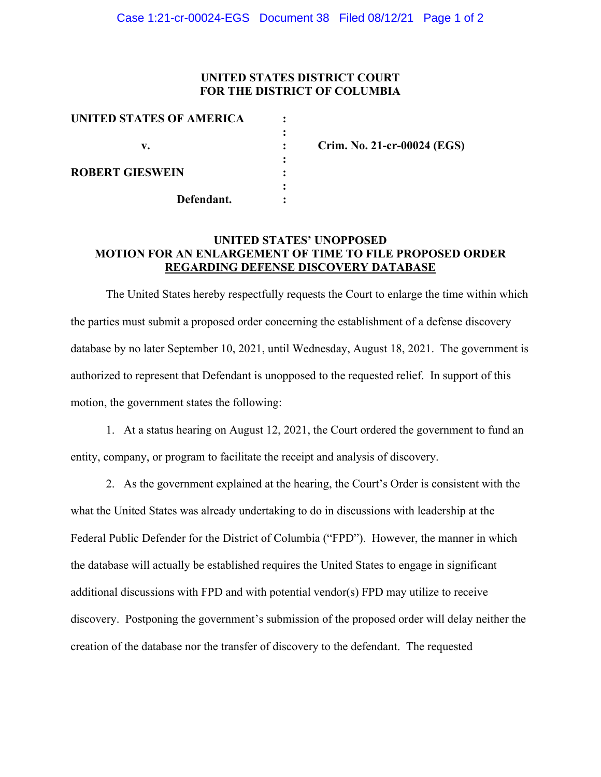### **UNITED STATES DISTRICT COURT FOR THE DISTRICT OF COLUMBIA**

| UNITED STATES OF AMERICA |                             |
|--------------------------|-----------------------------|
|                          |                             |
| v.                       | Crim. No. 21-cr-00024 (EGS) |
|                          |                             |
| <b>ROBERT GIESWEIN</b>   |                             |
|                          |                             |
| Defendant.               |                             |

## **UNITED STATES' UNOPPOSED MOTION FOR AN ENLARGEMENT OF TIME TO FILE PROPOSED ORDER REGARDING DEFENSE DISCOVERY DATABASE**

The United States hereby respectfully requests the Court to enlarge the time within which the parties must submit a proposed order concerning the establishment of a defense discovery database by no later September 10, 2021, until Wednesday, August 18, 2021. The government is authorized to represent that Defendant is unopposed to the requested relief. In support of this motion, the government states the following:

1. At a status hearing on August 12, 2021, the Court ordered the government to fund an entity, company, or program to facilitate the receipt and analysis of discovery.

2. As the government explained at the hearing, the Court's Order is consistent with the what the United States was already undertaking to do in discussions with leadership at the Federal Public Defender for the District of Columbia ("FPD"). However, the manner in which the database will actually be established requires the United States to engage in significant additional discussions with FPD and with potential vendor(s) FPD may utilize to receive discovery. Postponing the government's submission of the proposed order will delay neither the creation of the database nor the transfer of discovery to the defendant. The requested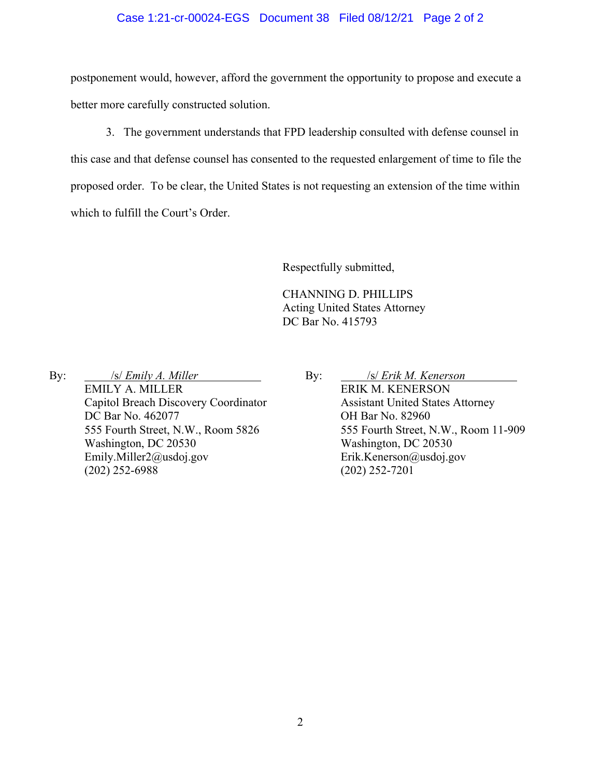#### Case 1:21-cr-00024-EGS Document 38 Filed 08/12/21 Page 2 of 2

postponement would, however, afford the government the opportunity to propose and execute a better more carefully constructed solution.

3. The government understands that FPD leadership consulted with defense counsel in this case and that defense counsel has consented to the requested enlargement of time to file the proposed order. To be clear, the United States is not requesting an extension of the time within which to fulfill the Court's Order.

Respectfully submitted,

CHANNING D. PHILLIPS Acting United States Attorney DC Bar No. 415793

By: /s/ *Emily A. Miller* EMILY A. MILLER Capitol Breach Discovery Coordinator DC Bar No. 462077 555 Fourth Street, N.W., Room 5826 Washington, DC 20530 Emily.Miller2@usdoj.gov (202) 252-6988

By: /s/ *Erik M. Kenerson* ERIK M. KENERSON Assistant United States Attorney OH Bar No. 82960 555 Fourth Street, N.W., Room 11-909 Washington, DC 20530 Erik.Kenerson@usdoj.gov (202) 252-7201